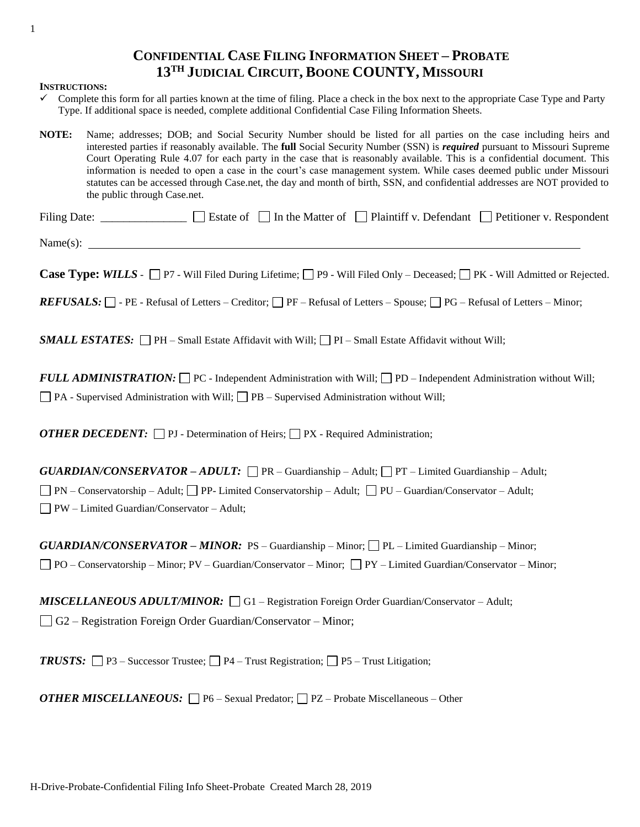## **CONFIDENTIAL CASE FILING INFORMATION SHEET – PROBATE 13TH JUDICIAL CIRCUIT, BOONE COUNTY, MISSOURI**

## **INSTRUCTIONS:**

- $\checkmark$  Complete this form for all parties known at the time of filing. Place a check in the box next to the appropriate Case Type and Party Type. If additional space is needed, complete additional Confidential Case Filing Information Sheets.
- **NOTE:** Name; addresses; DOB; and Social Security Number should be listed for all parties on the case including heirs and interested parties if reasonably available. The **full** Social Security Number (SSN) is *required* pursuant to Missouri Supreme Court Operating Rule 4.07 for each party in the case that is reasonably available. This is a confidential document. This information is needed to open a case in the court's case management system. While cases deemed public under Missouri statutes can be accessed through Case.net, the day and month of birth, SSN, and confidential addresses are NOT provided to the public through Case.net.

| <b>Filing Date:</b> |  | $\Box$ Estate of $\Box$ In the Matter of $\Box$ Plaintiff v. Defendant $\Box$ Petitioner v. Respondent |
|---------------------|--|--------------------------------------------------------------------------------------------------------|
|                     |  |                                                                                                        |

 $Name(s):$   $\qquad \qquad \qquad$ 

Case Type: *WILLS* - □ P7 - Will Filed During Lifetime; □ P9 - Will Filed Only – Deceased; □ PK - Will Admitted or Rejected.

 *– PE - Refusal of Letters – Creditor;*  $\Box$  *PF – Refusal of Letters – Spouse;*  $\Box$  *PG – Refusal of Letters – Minor;* 

*SMALL ESTATES*:  $\Box$  PH – Small Estate Affidavit with Will;  $\Box$  PI – Small Estate Affidavit without Will;

 $$  $\Box$  PA - Supervised Administration with Will;  $\Box$  PB – Supervised Administration without Will;

*OTHER DECEDENT*:  $\Box$  PJ - Determination of Heirs;  $\Box$  PX - Required Administration;

 $GUARDIAN/CONSERVATOR - ADULT: \Box PR - \text{Guardianship} - \text{Adult}; \Box PT - \text{Limited Guardianship} - \text{Adult};$  $\Box$  PN – Conservatorship – Adult;  $\Box$  PP- Limited Conservatorship – Adult;  $\Box$  PU – Guardian/Conservator – Adult; PW – Limited Guardian/Conservator – Adult;

*GUARDIAN/CONSERVATOR – MINOR:* PS – Guardianship – Minor; PL – Limited Guardianship – Minor;  $\Box$  PO – Conservatorship – Minor; PV – Guardian/Conservator – Minor;  $\Box$  PY – Limited Guardian/Conservator – Minor;

*MISCELLANEOUS ADULT/MINOR:* □ G1 – Registration Foreign Order Guardian/Conservator – Adult; G2 – Registration Foreign Order Guardian/Conservator – Minor;

*TRUSTS:*  $\Box$  P3 – Successor Trustee;  $\Box$  P4 – Trust Registration;  $\Box$  P5 – Trust Litigation;

*OTHER MISCELLANEOUS:*  $\Box$  P6 – Sexual Predator;  $\Box$  PZ – Probate Miscellaneous – Other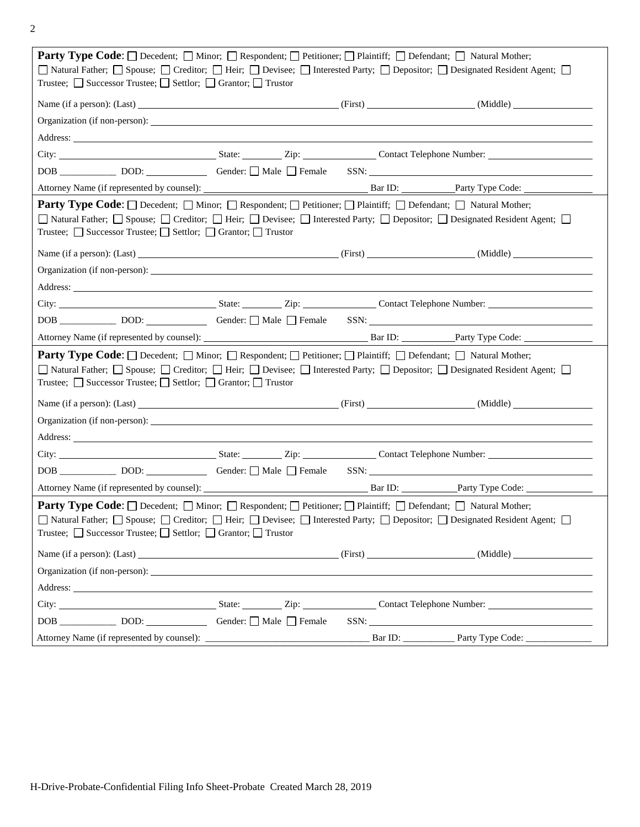2

| <b>Party Type Code:</b> Decedent; D Minor; D Respondent; D Petitioner; D Plaintiff; D Defendant; D Natural Mother;                                                                                                                                                                                                                                      |  |                                   |  |  |  |  |
|---------------------------------------------------------------------------------------------------------------------------------------------------------------------------------------------------------------------------------------------------------------------------------------------------------------------------------------------------------|--|-----------------------------------|--|--|--|--|
| □ Natural Father; □ Spouse; □ Creditor; □ Heir; □ Devisee; □ Interested Party; □ Depositor; □ Designated Resident Agent; □                                                                                                                                                                                                                              |  |                                   |  |  |  |  |
| Trustee; $\Box$ Successor Trustee; $\Box$ Settlor; $\Box$ Grantor; $\Box$ Trustor                                                                                                                                                                                                                                                                       |  |                                   |  |  |  |  |
| Name (if a person): (Last) (Example 2014) (First) (First) (First) (Middle) (Middle)                                                                                                                                                                                                                                                                     |  |                                   |  |  |  |  |
|                                                                                                                                                                                                                                                                                                                                                         |  |                                   |  |  |  |  |
| Address: <u>Address:</u> Address: Address: Address: Address: Address: Address: Address: Address: Address: Address: Address: Address: Address: Address: Address: Address: Address: Address: Address: Address: Address: Address: Addr                                                                                                                     |  |                                   |  |  |  |  |
|                                                                                                                                                                                                                                                                                                                                                         |  |                                   |  |  |  |  |
|                                                                                                                                                                                                                                                                                                                                                         |  |                                   |  |  |  |  |
|                                                                                                                                                                                                                                                                                                                                                         |  |                                   |  |  |  |  |
| <b>Party Type Code</b> : $\Box$ Decedent; $\Box$ Minor; $\Box$ Respondent; $\Box$ Petitioner; $\Box$ Plaintiff; $\Box$ Defendant; $\Box$ Natural Mother;<br>□ Natural Father; □ Spouse; □ Creditor; □ Heir; □ Devisee; □ Interested Party; □ Depositor; □ Designated Resident Agent; □<br>Trustee; □ Successor Trustee; □ Settlor; □ Grantor; □ Trustor |  |                                   |  |  |  |  |
| Name (if a person): (Last) (and a set of contract of contract of contract of contract of contract of contract of contract of contract of contract of contract of contract of contract of contract of contract of contract of c                                                                                                                          |  |                                   |  |  |  |  |
|                                                                                                                                                                                                                                                                                                                                                         |  |                                   |  |  |  |  |
|                                                                                                                                                                                                                                                                                                                                                         |  |                                   |  |  |  |  |
|                                                                                                                                                                                                                                                                                                                                                         |  |                                   |  |  |  |  |
|                                                                                                                                                                                                                                                                                                                                                         |  |                                   |  |  |  |  |
|                                                                                                                                                                                                                                                                                                                                                         |  |                                   |  |  |  |  |
| Party Type Code: O Decedent; O Minor; O Respondent; O Petitioner; O Plaintiff; O Defendant; O Natural Mother;<br>□ Natural Father; □ Spouse; □ Creditor; □ Heir; □ Devisee; □ Interested Party; □ Depositor; □ Designated Resident Agent; □<br>Trustee; □ Successor Trustee; □ Settlor; □ Grantor; □ Trustor                                            |  |                                   |  |  |  |  |
|                                                                                                                                                                                                                                                                                                                                                         |  |                                   |  |  |  |  |
| Name (if a person): (Last) (and a series of the contract of the contract of the contract of the contract of the contract of the contract of the contract of the contract of the contract of the contract of the contract of th                                                                                                                          |  |                                   |  |  |  |  |
|                                                                                                                                                                                                                                                                                                                                                         |  |                                   |  |  |  |  |
|                                                                                                                                                                                                                                                                                                                                                         |  |                                   |  |  |  |  |
|                                                                                                                                                                                                                                                                                                                                                         |  |                                   |  |  |  |  |
|                                                                                                                                                                                                                                                                                                                                                         |  |                                   |  |  |  |  |
|                                                                                                                                                                                                                                                                                                                                                         |  |                                   |  |  |  |  |
| Party Type Code: □ Decedent; □ Minor; □ Respondent; □ Petitioner; □ Plaintiff; □ Defendant; □ Natural Mother;<br>■ Natural Father; ■ Spouse; ■ Creditor; ■ Heir; ■ Devisee; ■ Interested Party; ■ Depositor; ■ Designated Resident Agent; ■<br>Trustee; □ Successor Trustee; □ Settlor; □ Grantor; □ Trustor                                            |  |                                   |  |  |  |  |
| Name (if a person): (Last) (1992) (Middle) (1993) (Middle) (1994) (Middle) (Middle) (Middle) (Middle) (Middle) (1994) (Middle) (1994) (Middle) (1994) (Middle) (1994) (Middle) (1994) (Middle) (1994) (1994) (1994) (1994) (19                                                                                                                          |  |                                   |  |  |  |  |
|                                                                                                                                                                                                                                                                                                                                                         |  |                                   |  |  |  |  |
| Address: <u>Address:</u> Address: Address: Address: Address: Address: Address: Address: Address: Address: Address: Address: Address: Address: Address: Address: Address: Address: Address: Address: Address: Address: Address: Addr                                                                                                                     |  |                                   |  |  |  |  |
|                                                                                                                                                                                                                                                                                                                                                         |  |                                   |  |  |  |  |
|                                                                                                                                                                                                                                                                                                                                                         |  | $SSN: \underline{\hspace{2.5cm}}$ |  |  |  |  |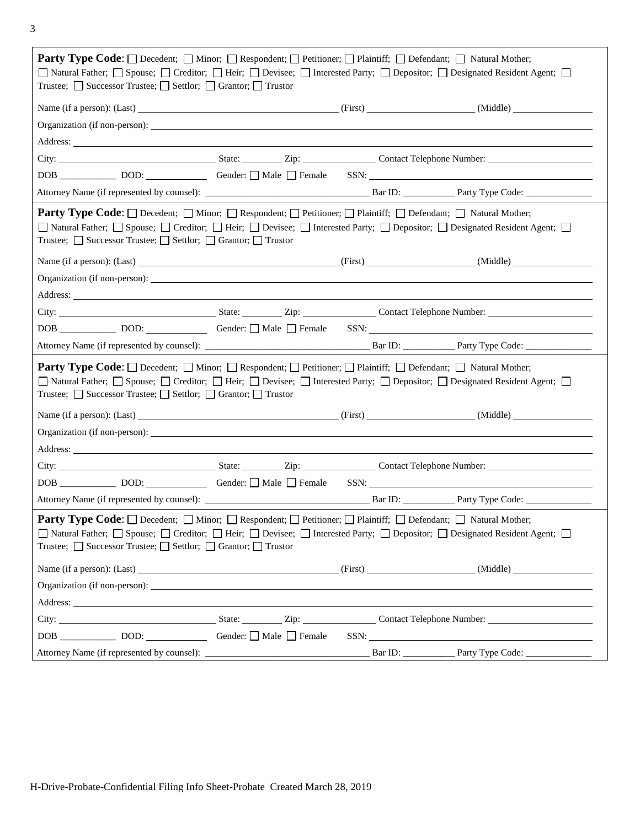3

| <b>Party Type Code:</b> Decedent; D Minor; D Respondent; D Petitioner; D Plaintiff; D Defendant; D Natural Mother;<br>□ Natural Father; □ Spouse; □ Creditor; □ Heir; □ Devisee; □ Interested Party; □ Depositor; □ Designated Resident Agent; □<br>Trustee; $\Box$ Successor Trustee; $\Box$ Settlor; $\Box$ Grantor; $\Box$ Trustor                                      |  |  |                                                                                                                                                                                                                                |  |  |  |
|----------------------------------------------------------------------------------------------------------------------------------------------------------------------------------------------------------------------------------------------------------------------------------------------------------------------------------------------------------------------------|--|--|--------------------------------------------------------------------------------------------------------------------------------------------------------------------------------------------------------------------------------|--|--|--|
|                                                                                                                                                                                                                                                                                                                                                                            |  |  | Name (if a person): (Last) (1992) (Einst) (1994) (First) (First) (1994) (Middle)                                                                                                                                               |  |  |  |
|                                                                                                                                                                                                                                                                                                                                                                            |  |  |                                                                                                                                                                                                                                |  |  |  |
|                                                                                                                                                                                                                                                                                                                                                                            |  |  |                                                                                                                                                                                                                                |  |  |  |
|                                                                                                                                                                                                                                                                                                                                                                            |  |  |                                                                                                                                                                                                                                |  |  |  |
|                                                                                                                                                                                                                                                                                                                                                                            |  |  |                                                                                                                                                                                                                                |  |  |  |
|                                                                                                                                                                                                                                                                                                                                                                            |  |  |                                                                                                                                                                                                                                |  |  |  |
| <b>Party Type Code:</b> Decedent; Minor; Respondent; Petitioner; Plaintiff; Defendant; D Natural Mother;<br>□ Natural Father; □ Spouse; □ Creditor; □ Heir; □ Devisee; □ Interested Party; □ Depositor; □ Designated Resident Agent; □<br>Trustee; □ Successor Trustee; □ Settlor; □ Grantor; □ Trustor                                                                    |  |  |                                                                                                                                                                                                                                |  |  |  |
|                                                                                                                                                                                                                                                                                                                                                                            |  |  | Name (if a person): (Last) (and the contract of the contract of the contract of the contract of the contract of the contract of the contract of the contract of the contract of the contract of the contract of the contract o |  |  |  |
|                                                                                                                                                                                                                                                                                                                                                                            |  |  |                                                                                                                                                                                                                                |  |  |  |
|                                                                                                                                                                                                                                                                                                                                                                            |  |  |                                                                                                                                                                                                                                |  |  |  |
|                                                                                                                                                                                                                                                                                                                                                                            |  |  |                                                                                                                                                                                                                                |  |  |  |
|                                                                                                                                                                                                                                                                                                                                                                            |  |  |                                                                                                                                                                                                                                |  |  |  |
|                                                                                                                                                                                                                                                                                                                                                                            |  |  |                                                                                                                                                                                                                                |  |  |  |
| <b>Party Type Code:</b> Decedent; Minor; Respondent; Petitioner; Plaintiff; Defendant; D Natural Mother;<br>□ Natural Father; □ Spouse; □ Creditor; □ Heir; □ Devisee; □ Interested Party; □ Depositor; □ Designated Resident Agent; □<br>Trustee; □ Successor Trustee; □ Settlor; □ Grantor; □ Trustor                                                                    |  |  |                                                                                                                                                                                                                                |  |  |  |
|                                                                                                                                                                                                                                                                                                                                                                            |  |  | Name (if a person): (Last) (and a series of the contract of the contract of the contract of the contract of the contract of the contract of the contract of the contract of the contract of the contract of the contract of th |  |  |  |
|                                                                                                                                                                                                                                                                                                                                                                            |  |  |                                                                                                                                                                                                                                |  |  |  |
| Address: No. 2016. The Commission of the Commission of the Commission of the Commission of the Commission of the Commission of the Commission of the Commission of the Commission of the Commission of the Commission of the C                                                                                                                                             |  |  |                                                                                                                                                                                                                                |  |  |  |
|                                                                                                                                                                                                                                                                                                                                                                            |  |  |                                                                                                                                                                                                                                |  |  |  |
|                                                                                                                                                                                                                                                                                                                                                                            |  |  |                                                                                                                                                                                                                                |  |  |  |
|                                                                                                                                                                                                                                                                                                                                                                            |  |  |                                                                                                                                                                                                                                |  |  |  |
| <b>Party Type Code:</b> $\Box$ Decedent; $\Box$ Minor; $\Box$ Respondent; $\Box$ Petitioner; $\Box$ Plaintiff; $\Box$ Defendant; $\Box$ Natural Mother;<br>□ Natural Father; □ Spouse; □ Creditor; □ Heir; □ Devisee; □ Interested Party; □ Depositor; □ Designated Resident Agent; □<br>Trustee; $\Box$ Successor Trustee; $\Box$ Settlor; $\Box$ Grantor; $\Box$ Trustor |  |  |                                                                                                                                                                                                                                |  |  |  |
|                                                                                                                                                                                                                                                                                                                                                                            |  |  | Name (if a person): (Last) (and the contract of the contract of the contract of the contract of the contract of the contract of the contract of the contract of the contract of the contract of the contract of the contract o |  |  |  |
|                                                                                                                                                                                                                                                                                                                                                                            |  |  |                                                                                                                                                                                                                                |  |  |  |
| Address: <u>The Community of the Community of the Community of the Community of the Community of the Community of the Community of the Community of the Community of the Community of the Community of the Community of the Comm</u>                                                                                                                                       |  |  |                                                                                                                                                                                                                                |  |  |  |
|                                                                                                                                                                                                                                                                                                                                                                            |  |  |                                                                                                                                                                                                                                |  |  |  |
|                                                                                                                                                                                                                                                                                                                                                                            |  |  | SSN:                                                                                                                                                                                                                           |  |  |  |
|                                                                                                                                                                                                                                                                                                                                                                            |  |  |                                                                                                                                                                                                                                |  |  |  |